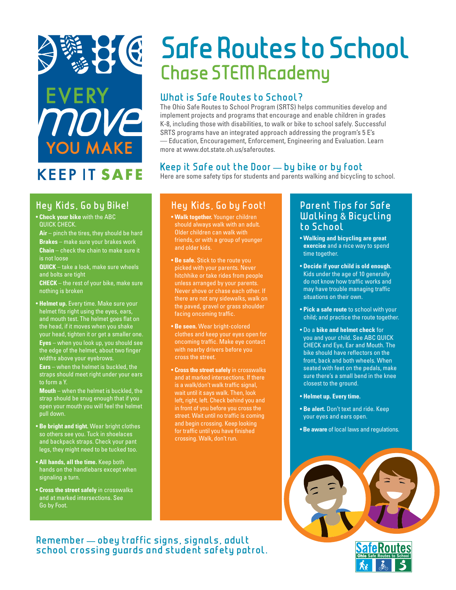

### **KFFP IT SAFE**

#### **Hey ids, Go by Bike!**

- **Check your bike** with the ABC QUICK CHECK.
- **Air** pinch the tires, they should be hard **Brakes** – make sure your brakes work **Chain** – check the chain to make sure it is not loose
- **QUICK** take a look, make sure wheels and bolts are tight
- **CHECK** the rest of your bike, make sure nothing is broken
- **Helmet up.** Every time. Make sure your helmet fits right using the eyes, ears, and mouth test. The helmet goes flat on the head, if it moves when you shake your head, tighten it or get a smaller one. **Eyes** – when you look up, you should see the edge of the helmet, about two finger widths above your eyebrows.

**Ears** – when the helmet is buckled, the straps should meet right under your ears to form a Y.

**Mouth** – when the helmet is buckled, the strap should be snug enough that if you open your mouth you will feel the helmet pull down.

- • **Be bright and tight.** Wear bright clothes so others see you. Tuck in shoelaces and backpack straps. Check your pant legs, they might need to be tucked too.
- **All hands, all the time.** Keep both hands on the handlebars except when signaling a turn.
- **Cross the street safely** in crosswalks and at marked intersections. See Go by Foot.

# **Safe Routes to School Chase STEM Academy**

#### **What is Safe Routes to School?**

The Ohio Safe Routes to School Program (SRTS) helps communities develop and implement projects and programs that encourage and enable children in grades K-8, including those with disabilities, to walk or bike to school safely. Successful SRTS programs have an integrated approach addressing the program's 5 E's — Education, Encouragement, Enforcement, Engineering and Evaluation. Learn more at www.dot.state.oh.us/saferoutes.

#### **Keep it Safe out the Door — by bike or by foot**

Here are some safety tips for students and parents walking and bicycling to school.

#### **Hey ids, Go by Foot!**

- **Walk together.** Younger children should always walk with an adult. Older children can walk with friends, or with a group of younger and older kids.
- **Be safe.** Stick to the route you picked with your parents. Never hitchhike or take rides from people unless arranged by your parents. Never shove or chase each other. If there are not any sidewalks, walk on the paved, gravel or grass shoulder facing oncoming traffic.
- **Be seen.** Wear bright-colored clothes and keep your eyes open for oncoming traffic. Make eye contact with nearby drivers before you cross the street.
- **Cross the street safely** in crosswalks and at marked intersections. If there is a walk/don't walk traffic signal, wait until it says walk. Then, look left, right, left. Check behind you and in front of you before you cross the street. Wait until no traffic is coming and begin crossing. Keep looking for traffic until you have finished crossing. Walk, don't run.

#### **Parent Tips for Safe Walking** & **Bicycling to School**

- **Walking and bicycling are great exercise** and a nice way to spend time together.
- **Decide if your child is old enough.** Kids under the age of 10 generally do not know how traffic works and may have trouble managing traffic situations on their own.
- **Pick a safe route** to school with your child; and practice the route together.
- Do a **bike and helmet check** for you and your child. See ABC QUICK CHECK and Eye, Ear and Mouth. The bike should have reflectors on the front, back and both wheels. When seated with feet on the pedals, make sure there's a small bend in the knee closest to the ground.
- **Helmet up. Every time.**
- **Be alert.** Don't text and ride. Keep your eyes and ears open.
- **Be aware** of local laws and regulations.



#### **Remember — obey traffic signs, signals, adult school crossing guards and student safety patrol.**